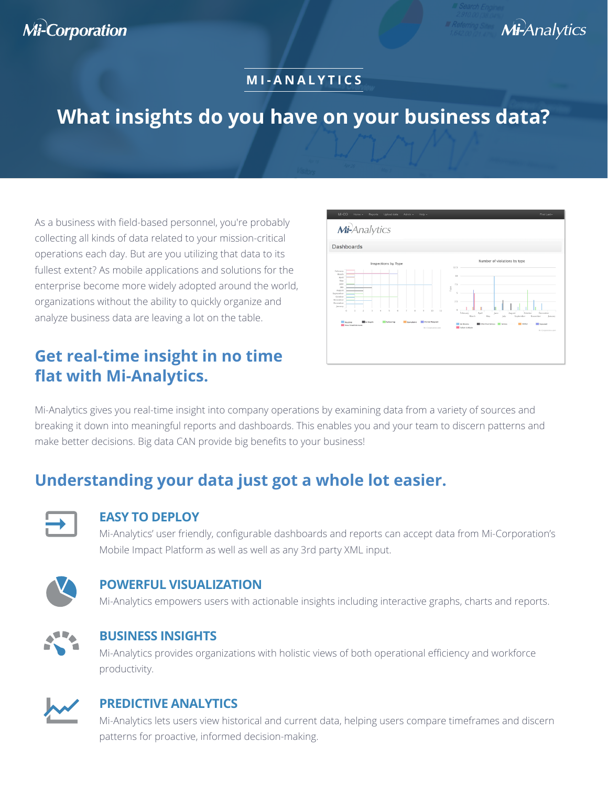# **Mi-Corporation**

## Mi-Analytics

### **MI-ANALYTICS**

# **What insights do you have on your business data?**

As a business with field-based personnel, you're probably collecting all kinds of data related to your mission-critical operations each day. But are you utilizing that data to its fullest extent? As mobile applications and solutions for the enterprise become more widely adopted around the world, organizations without the ability to quickly organize and analyze business data are leaving a lot on the table.

### **Get real-time insight in no time flat with Mi-Analytics.**



Mi-Analytics gives you real-time insight into company operations by examining data from a variety of sources and breaking it down into meaningful reports and dashboards. This enables you and your team to discern patterns and make better decisions. Big data CAN provide big benefits to your business!

## **Understanding your data just got a whole lot easier.**



#### **EASY TO DEPLOY**

Mi-Analytics' user friendly, configurable dashboards and reports can accept data from Mi-Corporation's Mobile Impact Platform as well as well as any 3rd party XML input.



#### **POWERFUL VISUALIZATION**

Mi-Analytics empowers users with actionable insights including interactive graphs, charts and reports.



#### **BUSINESS INSIGHTS**

Mi-Analytics provides organizations with holistic views of both operational efficiency and workforce productivity.



#### **PREDICTIVE ANALYTICS**

Mi-Analytics lets users view historical and current data, helping users compare timeframes and discern patterns for proactive, informed decision-making.